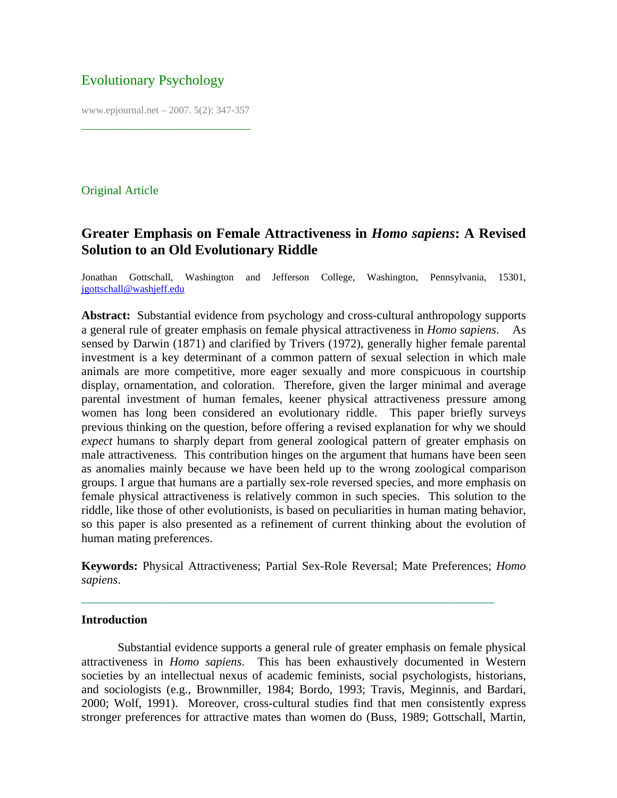# Evolutionary Psychology

www.epjournal.net – 2007. 5(2): 347-357

¯¯¯¯¯¯¯¯¯¯¯¯¯¯¯¯¯¯¯¯¯¯¯¯¯¯¯¯

## Original Article

# **Greater Emphasis on Female Attractiveness in** *Homo sapiens***: A Revised Solution to an Old Evolutionary Riddle**

Jonathan Gottschall, Washington and Jefferson College, Washington, Pennsylvania, 15301, [jgottschall@washjeff.edu](mailto:jgottschall@washjeff.edu)

**Abstract:** Substantial evidence from psychology and cross-cultural anthropology supports a general rule of greater emphasis on female physical attractiveness in *Homo sapiens*. As sensed by Darwin (1871) and clarified by Trivers (1972), generally higher female parental investment is a key determinant of a common pattern of sexual selection in which male animals are more competitive, more eager sexually and more conspicuous in courtship display, ornamentation, and coloration. Therefore, given the larger minimal and average parental investment of human females, keener physical attractiveness pressure among women has long been considered an evolutionary riddle. This paper briefly surveys previous thinking on the question, before offering a revised explanation for why we should *expect* humans to sharply depart from general zoological pattern of greater emphasis on male attractiveness. This contribution hinges on the argument that humans have been seen as anomalies mainly because we have been held up to the wrong zoological comparison groups. I argue that humans are a partially sex-role reversed species, and more emphasis on female physical attractiveness is relatively common in such species. This solution to the riddle, like those of other evolutionists, is based on peculiarities in human mating behavior, so this paper is also presented as a refinement of current thinking about the evolution of human mating preferences.

**Keywords:** Physical Attractiveness; Partial Sex-Role Reversal; Mate Preferences; *Homo sapiens*.

**¯¯¯¯¯¯¯¯¯¯¯¯¯¯¯¯¯¯¯¯¯¯¯¯¯¯¯¯¯¯¯¯¯¯¯¯¯¯¯¯¯¯¯¯¯¯¯¯¯¯¯¯¯¯¯¯¯¯¯¯¯¯¯¯¯¯¯¯¯¯¯¯¯¯¯¯¯¯¯¯¯¯**

## **Introduction**

Substantial evidence supports a general rule of greater emphasis on female physical attractiveness in *Homo sapiens*. This has been exhaustively documented in Western societies by an intellectual nexus of academic feminists, social psychologists, historians, and sociologists (e.g., Brownmiller, 1984; Bordo, 1993; Travis, Meginnis, and Bardari, 2000; Wolf, 1991). Moreover, cross-cultural studies find that men consistently express stronger preferences for attractive mates than women do (Buss, 1989; Gottschall, Martin,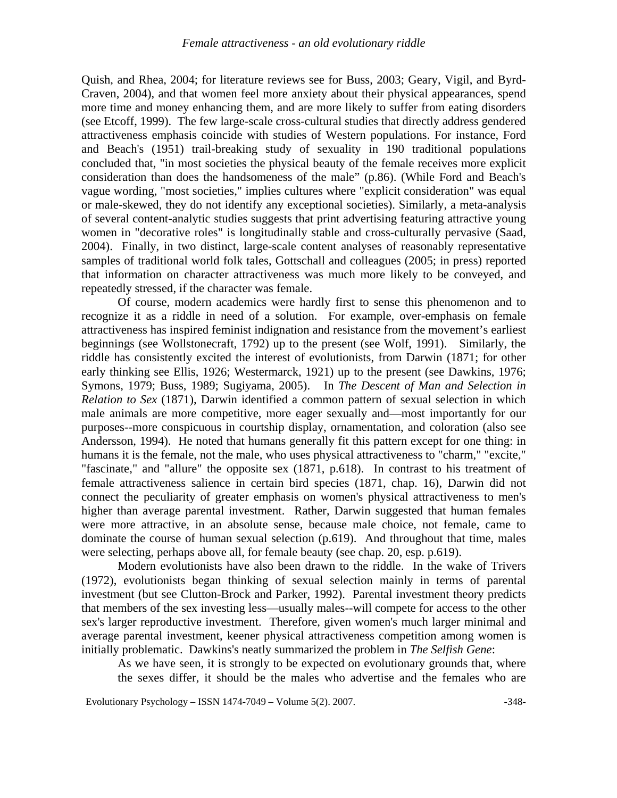Quish, and Rhea, 2004; for literature reviews see for Buss, 2003; Geary, Vigil, and Byrd-Craven, 2004), and that women feel more anxiety about their physical appearances, spend more time and money enhancing them, and are more likely to suffer from eating disorders (see Etcoff, 1999). The few large-scale cross-cultural studies that directly address gendered attractiveness emphasis coincide with studies of Western populations. For instance, Ford and Beach's (1951) trail-breaking study of sexuality in 190 traditional populations concluded that, "in most societies the physical beauty of the female receives more explicit consideration than does the handsomeness of the male" (p.86). (While Ford and Beach's vague wording, "most societies," implies cultures where "explicit consideration" was equal or male-skewed, they do not identify any exceptional societies). Similarly, a meta-analysis of several content-analytic studies suggests that print advertising featuring attractive young women in "decorative roles" is longitudinally stable and cross-culturally pervasive (Saad, 2004). Finally, in two distinct, large-scale content analyses of reasonably representative samples of traditional world folk tales, Gottschall and colleagues (2005; in press) reported that information on character attractiveness was much more likely to be conveyed, and repeatedly stressed, if the character was female.

Of course, modern academics were hardly first to sense this phenomenon and to recognize it as a riddle in need of a solution. For example, over-emphasis on female attractiveness has inspired feminist indignation and resistance from the movement's earliest beginnings (see Wollstonecraft, 1792) up to the present (see Wolf, 1991). Similarly, the riddle has consistently excited the interest of evolutionists, from Darwin (1871; for other early thinking see Ellis, 1926; Westermarck, 1921) up to the present (see Dawkins, 1976; Symons, 1979; Buss, 1989; Sugiyama, 2005). In *The Descent of Man and Selection in Relation to Sex* (1871), Darwin identified a common pattern of sexual selection in which male animals are more competitive, more eager sexually and—most importantly for our purposes--more conspicuous in courtship display, ornamentation, and coloration (also see Andersson, 1994). He noted that humans generally fit this pattern except for one thing: in humans it is the female, not the male, who uses physical attractiveness to "charm," "excite," "fascinate," and "allure" the opposite sex (1871, p.618). In contrast to his treatment of female attractiveness salience in certain bird species (1871, chap. 16), Darwin did not connect the peculiarity of greater emphasis on women's physical attractiveness to men's higher than average parental investment. Rather, Darwin suggested that human females were more attractive, in an absolute sense, because male choice, not female, came to dominate the course of human sexual selection (p.619). And throughout that time, males were selecting, perhaps above all, for female beauty (see chap. 20, esp. p.619).

Modern evolutionists have also been drawn to the riddle. In the wake of Trivers (1972), evolutionists began thinking of sexual selection mainly in terms of parental investment (but see Clutton-Brock and Parker, 1992). Parental investment theory predicts that members of the sex investing less—usually males--will compete for access to the other sex's larger reproductive investment. Therefore, given women's much larger minimal and average parental investment, keener physical attractiveness competition among women is initially problematic. Dawkins's neatly summarized the problem in *The Selfish Gene*:

As we have seen, it is strongly to be expected on evolutionary grounds that, where the sexes differ, it should be the males who advertise and the females who are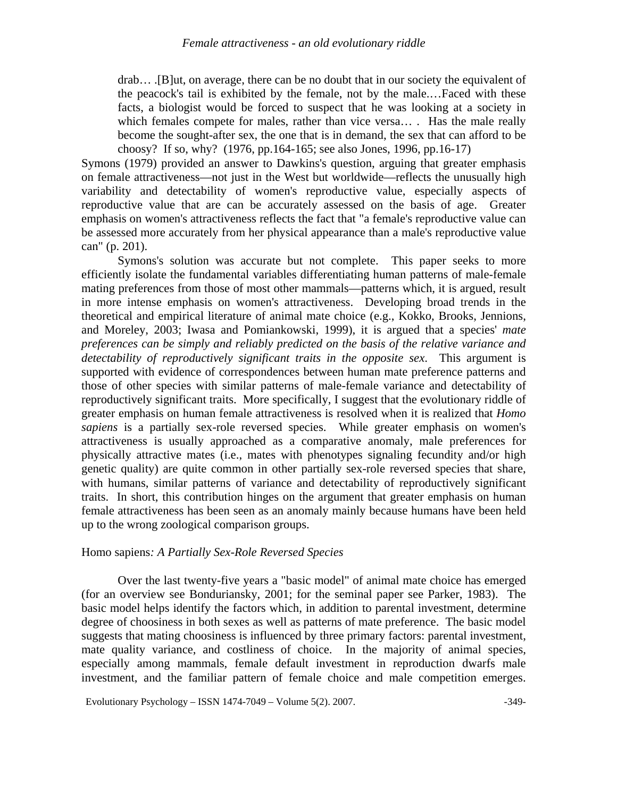drab… .[B]ut, on average, there can be no doubt that in our society the equivalent of the peacock's tail is exhibited by the female, not by the male.…Faced with these facts, a biologist would be forced to suspect that he was looking at a society in which females compete for males, rather than vice versa.... Has the male really become the sought-after sex, the one that is in demand, the sex that can afford to be choosy? If so, why? (1976, pp.164-165; see also Jones, 1996, pp.16-17)

Symons (1979) provided an answer to Dawkins's question, arguing that greater emphasis on female attractiveness—not just in the West but worldwide—reflects the unusually high variability and detectability of women's reproductive value, especially aspects of reproductive value that are can be accurately assessed on the basis of age. Greater emphasis on women's attractiveness reflects the fact that "a female's reproductive value can be assessed more accurately from her physical appearance than a male's reproductive value can" (p. 201).

Symons's solution was accurate but not complete. This paper seeks to more efficiently isolate the fundamental variables differentiating human patterns of male-female mating preferences from those of most other mammals—patterns which, it is argued, result in more intense emphasis on women's attractiveness. Developing broad trends in the theoretical and empirical literature of animal mate choice (e.g., Kokko, Brooks, Jennions, and Moreley, 2003; Iwasa and Pomiankowski, 1999), it is argued that a species' *mate preferences can be simply and reliably predicted on the basis of the relative variance and detectability of reproductively significant traits in the opposite sex*. This argument is supported with evidence of correspondences between human mate preference patterns and those of other species with similar patterns of male-female variance and detectability of reproductively significant traits. More specifically, I suggest that the evolutionary riddle of greater emphasis on human female attractiveness is resolved when it is realized that *Homo sapiens* is a partially sex-role reversed species. While greater emphasis on women's attractiveness is usually approached as a comparative anomaly, male preferences for physically attractive mates (i.e., mates with phenotypes signaling fecundity and/or high genetic quality) are quite common in other partially sex-role reversed species that share, with humans, similar patterns of variance and detectability of reproductively significant traits. In short, this contribution hinges on the argument that greater emphasis on human female attractiveness has been seen as an anomaly mainly because humans have been held up to the wrong zoological comparison groups.

#### Homo sapiens*: A Partially Sex-Role Reversed Species*

Over the last twenty-five years a "basic model" of animal mate choice has emerged (for an overview see Bonduriansky, 2001; for the seminal paper see Parker, 1983). The basic model helps identify the factors which, in addition to parental investment, determine degree of choosiness in both sexes as well as patterns of mate preference. The basic model suggests that mating choosiness is influenced by three primary factors: parental investment, mate quality variance, and costliness of choice. In the majority of animal species, especially among mammals, female default investment in reproduction dwarfs male investment, and the familiar pattern of female choice and male competition emerges.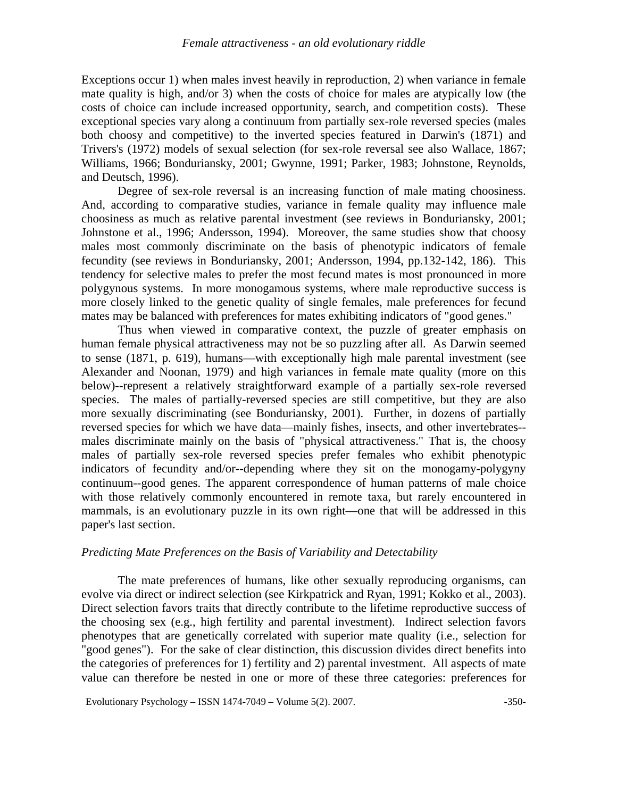Exceptions occur 1) when males invest heavily in reproduction, 2) when variance in female mate quality is high, and/or 3) when the costs of choice for males are atypically low (the costs of choice can include increased opportunity, search, and competition costs). These exceptional species vary along a continuum from partially sex-role reversed species (males both choosy and competitive) to the inverted species featured in Darwin's (1871) and Trivers's (1972) models of sexual selection (for sex-role reversal see also Wallace, 1867; Williams, 1966; Bonduriansky, 2001; Gwynne, 1991; Parker, 1983; Johnstone, Reynolds, and Deutsch, 1996).

Degree of sex-role reversal is an increasing function of male mating choosiness. And, according to comparative studies, variance in female quality may influence male choosiness as much as relative parental investment (see reviews in Bonduriansky, 2001; Johnstone et al., 1996; Andersson, 1994). Moreover, the same studies show that choosy males most commonly discriminate on the basis of phenotypic indicators of female fecundity (see reviews in Bonduriansky, 2001; Andersson, 1994, pp.132-142, 186). This tendency for selective males to prefer the most fecund mates is most pronounced in more polygynous systems. In more monogamous systems, where male reproductive success is more closely linked to the genetic quality of single females, male preferences for fecund mates may be balanced with preferences for mates exhibiting indicators of "good genes."

Thus when viewed in comparative context, the puzzle of greater emphasis on human female physical attractiveness may not be so puzzling after all. As Darwin seemed to sense (1871, p. 619), humans—with exceptionally high male parental investment (see Alexander and Noonan, 1979) and high variances in female mate quality (more on this below)--represent a relatively straightforward example of a partially sex-role reversed species. The males of partially-reversed species are still competitive, but they are also more sexually discriminating (see Bonduriansky, 2001). Further, in dozens of partially reversed species for which we have data—mainly fishes, insects, and other invertebrates- males discriminate mainly on the basis of "physical attractiveness." That is, the choosy males of partially sex-role reversed species prefer females who exhibit phenotypic indicators of fecundity and/or--depending where they sit on the monogamy-polygyny continuum--good genes. The apparent correspondence of human patterns of male choice with those relatively commonly encountered in remote taxa, but rarely encountered in mammals, is an evolutionary puzzle in its own right—one that will be addressed in this paper's last section.

#### *Predicting Mate Preferences on the Basis of Variability and Detectability*

The mate preferences of humans, like other sexually reproducing organisms, can evolve via direct or indirect selection (see Kirkpatrick and Ryan, 1991; Kokko et al., 2003). Direct selection favors traits that directly contribute to the lifetime reproductive success of the choosing sex (e.g., high fertility and parental investment). Indirect selection favors phenotypes that are genetically correlated with superior mate quality (i.e., selection for "good genes"). For the sake of clear distinction, this discussion divides direct benefits into the categories of preferences for 1) fertility and 2) parental investment. All aspects of mate value can therefore be nested in one or more of these three categories: preferences for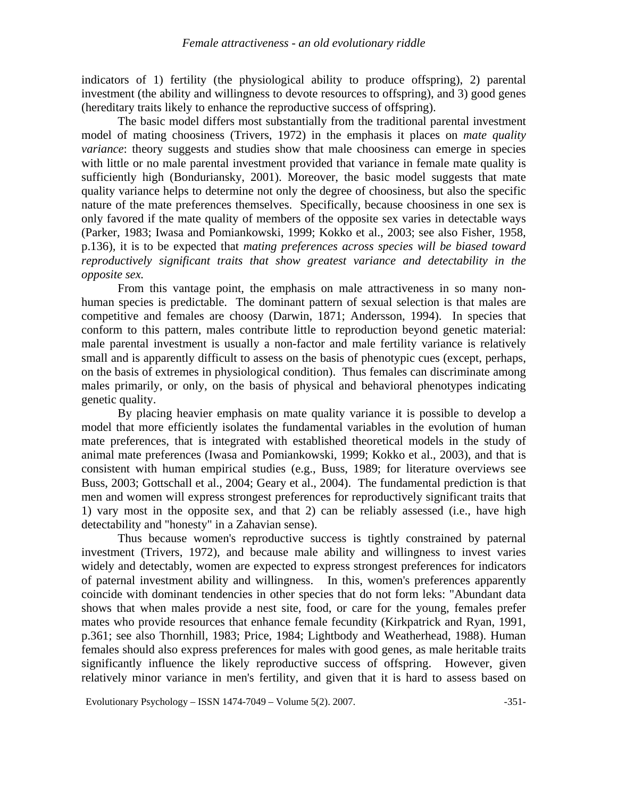indicators of 1) fertility (the physiological ability to produce offspring), 2) parental investment (the ability and willingness to devote resources to offspring), and 3) good genes (hereditary traits likely to enhance the reproductive success of offspring).

 The basic model differs most substantially from the traditional parental investment model of mating choosiness (Trivers, 1972) in the emphasis it places on *mate quality variance*: theory suggests and studies show that male choosiness can emerge in species with little or no male parental investment provided that variance in female mate quality is sufficiently high (Bonduriansky, 2001). Moreover, the basic model suggests that mate quality variance helps to determine not only the degree of choosiness, but also the specific nature of the mate preferences themselves. Specifically, because choosiness in one sex is only favored if the mate quality of members of the opposite sex varies in detectable ways (Parker, 1983; Iwasa and Pomiankowski, 1999; Kokko et al., 2003; see also Fisher, 1958, p.136)*,* it is to be expected that *mating preferences across species will be biased toward reproductively significant traits that show greatest variance and detectability in the opposite sex.*

From this vantage point, the emphasis on male attractiveness in so many nonhuman species is predictable. The dominant pattern of sexual selection is that males are competitive and females are choosy (Darwin, 1871; Andersson, 1994). In species that conform to this pattern, males contribute little to reproduction beyond genetic material: male parental investment is usually a non-factor and male fertility variance is relatively small and is apparently difficult to assess on the basis of phenotypic cues (except, perhaps, on the basis of extremes in physiological condition). Thus females can discriminate among males primarily, or only, on the basis of physical and behavioral phenotypes indicating genetic quality.

 By placing heavier emphasis on mate quality variance it is possible to develop a model that more efficiently isolates the fundamental variables in the evolution of human mate preferences, that is integrated with established theoretical models in the study of animal mate preferences (Iwasa and Pomiankowski, 1999; Kokko et al., 2003), and that is consistent with human empirical studies (e.g., Buss, 1989; for literature overviews see Buss, 2003; Gottschall et al., 2004; Geary et al., 2004). The fundamental prediction is that men and women will express strongest preferences for reproductively significant traits that 1) vary most in the opposite sex, and that 2) can be reliably assessed (i.e., have high detectability and "honesty" in a Zahavian sense).

Thus because women's reproductive success is tightly constrained by paternal investment (Trivers, 1972), and because male ability and willingness to invest varies widely and detectably, women are expected to express strongest preferences for indicators of paternal investment ability and willingness. In this, women's preferences apparently coincide with dominant tendencies in other species that do not form leks: "Abundant data shows that when males provide a nest site, food, or care for the young, females prefer mates who provide resources that enhance female fecundity (Kirkpatrick and Ryan, 1991, p.361; see also Thornhill, 1983; Price, 1984; Lightbody and Weatherhead, 1988). Human females should also express preferences for males with good genes, as male heritable traits significantly influence the likely reproductive success of offspring. However, given relatively minor variance in men's fertility, and given that it is hard to assess based on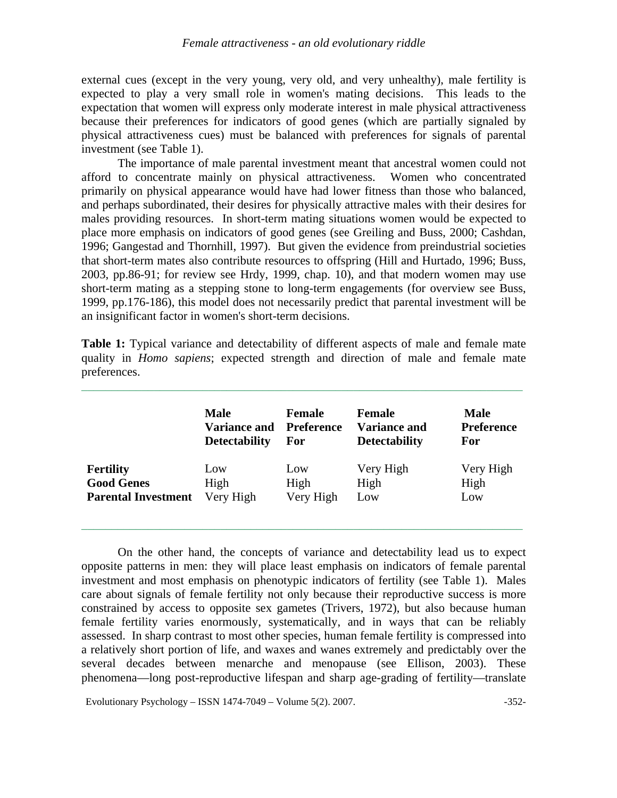external cues (except in the very young, very old, and very unhealthy), male fertility is expected to play a very small role in women's mating decisions. This leads to the expectation that women will express only moderate interest in male physical attractiveness because their preferences for indicators of good genes (which are partially signaled by physical attractiveness cues) must be balanced with preferences for signals of parental investment (see Table 1).

The importance of male parental investment meant that ancestral women could not afford to concentrate mainly on physical attractiveness. Women who concentrated primarily on physical appearance would have had lower fitness than those who balanced, and perhaps subordinated, their desires for physically attractive males with their desires for males providing resources. In short-term mating situations women would be expected to place more emphasis on indicators of good genes (see Greiling and Buss, 2000; Cashdan, 1996; Gangestad and Thornhill, 1997). But given the evidence from preindustrial societies that short-term mates also contribute resources to offspring (Hill and Hurtado, 1996; Buss, 2003, pp.86-91; for review see Hrdy, 1999, chap. 10), and that modern women may use short-term mating as a stepping stone to long-term engagements (for overview see Buss, 1999, pp.176-186), this model does not necessarily predict that parental investment will be an insignificant factor in women's short-term decisions.

**Table 1:** Typical variance and detectability of different aspects of male and female mate quality in *Homo sapiens*; expected strength and direction of male and female mate preferences.

\_\_\_\_\_\_\_\_\_\_\_\_\_\_\_\_\_\_\_\_\_\_\_\_\_\_\_\_\_\_\_\_\_\_\_\_\_\_\_\_\_\_\_\_\_\_\_\_\_\_\_\_\_\_\_\_\_\_\_\_\_\_\_\_\_\_\_\_\_\_\_\_\_

|                            | <b>Male</b>          | <b>Female</b>     | <b>Female</b>        | <b>Male</b>       |
|----------------------------|----------------------|-------------------|----------------------|-------------------|
|                            | <b>Variance and</b>  | <b>Preference</b> | <b>Variance and</b>  | <b>Preference</b> |
|                            | <b>Detectability</b> | For               | <b>Detectability</b> | For               |
| <b>Fertility</b>           | Low                  | Low               | Very High            | Very High         |
| <b>Good Genes</b>          | High                 | High              | High                 | High              |
| <b>Parental Investment</b> | Very High            | Very High         | Low                  | Low               |

\_\_\_\_\_\_\_\_\_\_\_\_\_\_\_\_\_\_\_\_\_\_\_\_\_\_\_\_\_\_\_\_\_\_\_\_\_\_\_\_\_\_\_\_\_\_\_\_\_\_\_\_\_\_\_\_\_\_\_\_\_\_\_\_\_\_\_\_\_\_\_\_\_

On the other hand, the concepts of variance and detectability lead us to expect opposite patterns in men: they will place least emphasis on indicators of female parental investment and most emphasis on phenotypic indicators of fertility (see Table 1). Males care about signals of female fertility not only because their reproductive success is more constrained by access to opposite sex gametes (Trivers, 1972), but also because human female fertility varies enormously, systematically, and in ways that can be reliably assessed. In sharp contrast to most other species, human female fertility is compressed into a relatively short portion of life, and waxes and wanes extremely and predictably over the several decades between menarche and menopause (see Ellison, 2003). These phenomena—long post-reproductive lifespan and sharp age-grading of fertility—translate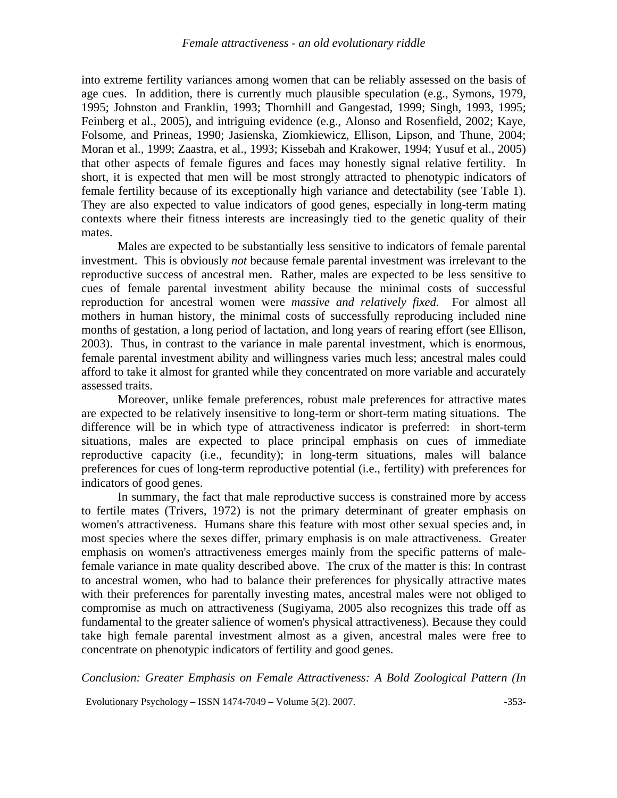into extreme fertility variances among women that can be reliably assessed on the basis of age cues. In addition, there is currently much plausible speculation (e.g., Symons, 1979, 1995; Johnston and Franklin, 1993; Thornhill and Gangestad, 1999; Singh, 1993, 1995; Feinberg et al., 2005), and intriguing evidence (e.g., Alonso and Rosenfield, 2002; Kaye, Folsome, and Prineas, 1990; Jasienska, Ziomkiewicz, Ellison, Lipson, and Thune, 2004; Moran et al., 1999; Zaastra, et al., 1993; Kissebah and Krakower, 1994; Yusuf et al., 2005) that other aspects of female figures and faces may honestly signal relative fertility. In short, it is expected that men will be most strongly attracted to phenotypic indicators of female fertility because of its exceptionally high variance and detectability (see Table 1). They are also expected to value indicators of good genes, especially in long-term mating contexts where their fitness interests are increasingly tied to the genetic quality of their mates.

Males are expected to be substantially less sensitive to indicators of female parental investment. This is obviously *not* because female parental investment was irrelevant to the reproductive success of ancestral men. Rather, males are expected to be less sensitive to cues of female parental investment ability because the minimal costs of successful reproduction for ancestral women were *massive and relatively fixed.* For almost all mothers in human history, the minimal costs of successfully reproducing included nine months of gestation, a long period of lactation, and long years of rearing effort (see Ellison, 2003). Thus, in contrast to the variance in male parental investment, which is enormous, female parental investment ability and willingness varies much less; ancestral males could afford to take it almost for granted while they concentrated on more variable and accurately assessed traits.

Moreover, unlike female preferences, robust male preferences for attractive mates are expected to be relatively insensitive to long-term or short-term mating situations. The difference will be in which type of attractiveness indicator is preferred: in short-term situations, males are expected to place principal emphasis on cues of immediate reproductive capacity (i.e., fecundity); in long-term situations, males will balance preferences for cues of long-term reproductive potential (i.e., fertility) with preferences for indicators of good genes.

In summary, the fact that male reproductive success is constrained more by access to fertile mates (Trivers, 1972) is not the primary determinant of greater emphasis on women's attractiveness. Humans share this feature with most other sexual species and, in most species where the sexes differ, primary emphasis is on male attractiveness. Greater emphasis on women's attractiveness emerges mainly from the specific patterns of malefemale variance in mate quality described above. The crux of the matter is this: In contrast to ancestral women, who had to balance their preferences for physically attractive mates with their preferences for parentally investing mates, ancestral males were not obliged to compromise as much on attractiveness (Sugiyama, 2005 also recognizes this trade off as fundamental to the greater salience of women's physical attractiveness). Because they could take high female parental investment almost as a given, ancestral males were free to concentrate on phenotypic indicators of fertility and good genes.

*Conclusion: Greater Emphasis on Female Attractiveness: A Bold Zoological Pattern (In*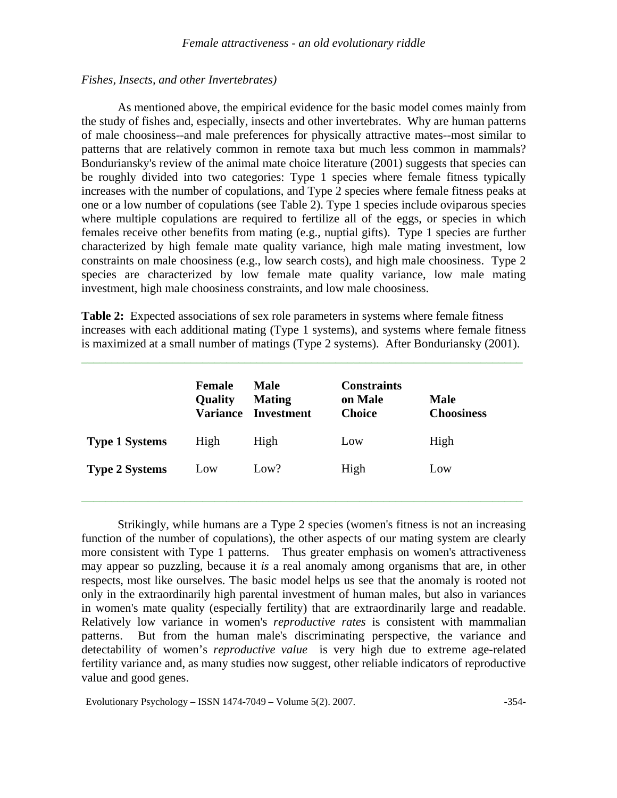#### *Fishes, Insects, and other Invertebrates)*

As mentioned above, the empirical evidence for the basic model comes mainly from the study of fishes and, especially, insects and other invertebrates. Why are human patterns of male choosiness--and male preferences for physically attractive mates--most similar to patterns that are relatively common in remote taxa but much less common in mammals? Bonduriansky's review of the animal mate choice literature (2001) suggests that species can be roughly divided into two categories: Type 1 species where female fitness typically increases with the number of copulations, and Type 2 species where female fitness peaks at one or a low number of copulations (see Table 2). Type 1 species include oviparous species where multiple copulations are required to fertilize all of the eggs, or species in which females receive other benefits from mating (e.g., nuptial gifts). Type 1 species are further characterized by high female mate quality variance, high male mating investment, low constraints on male choosiness (e.g., low search costs), and high male choosiness. Type 2 species are characterized by low female mate quality variance, low male mating investment, high male choosiness constraints, and low male choosiness.

**Table 2:** Expected associations of sex role parameters in systems where female fitness increases with each additional mating (Type 1 systems), and systems where female fitness is maximized at a small number of matings (Type 2 systems). After Bonduriansky (2001).

\_\_\_\_\_\_\_\_\_\_\_\_\_\_\_\_\_\_\_\_\_\_\_\_\_\_\_\_\_\_\_\_\_\_\_\_\_\_\_\_\_\_\_\_\_\_\_\_\_\_\_\_\_\_\_\_\_\_\_\_\_\_\_\_\_\_\_\_\_\_\_\_\_

|                       | <b>Female</b><br><b>Quality</b> | <b>Male</b><br><b>Mating</b><br>Variance Investment | <b>Constraints</b><br>on Male<br><b>Choice</b> | Male<br><b>Choosiness</b> |
|-----------------------|---------------------------------|-----------------------------------------------------|------------------------------------------------|---------------------------|
| <b>Type 1 Systems</b> | High                            | High                                                | Low                                            | High                      |
| <b>Type 2 Systems</b> | Low                             | Low?                                                | High                                           | Low                       |
|                       |                                 |                                                     |                                                |                           |

 Strikingly, while humans are a Type 2 species (women's fitness is not an increasing function of the number of copulations), the other aspects of our mating system are clearly more consistent with Type 1 patterns. Thus greater emphasis on women's attractiveness may appear so puzzling, because it *is* a real anomaly among organisms that are, in other respects, most like ourselves. The basic model helps us see that the anomaly is rooted not only in the extraordinarily high parental investment of human males, but also in variances in women's mate quality (especially fertility) that are extraordinarily large and readable. Relatively low variance in women's *reproductive rates* is consistent with mammalian patterns. But from the human male's discriminating perspective, the variance and detectability of women's *reproductive value* is very high due to extreme age-related fertility variance and, as many studies now suggest, other reliable indicators of reproductive value and good genes.

Evolutionary Psychology – ISSN 1474-7049 – Volume 5(2). 2007.  $\qquad \qquad$  -354-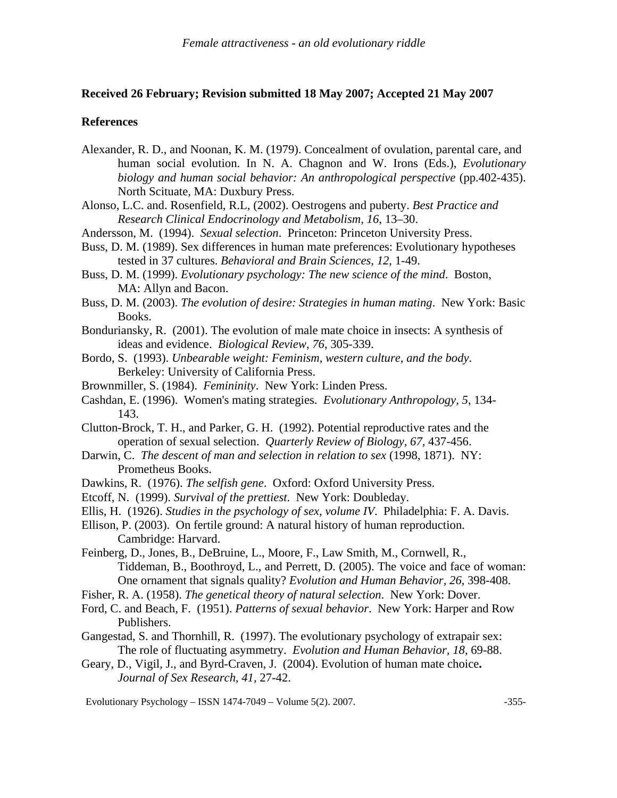### **Received 26 February; Revision submitted 18 May 2007; Accepted 21 May 2007**

### **References**

- Alexander, R. D., and Noonan, K. M. (1979). Concealment of ovulation, parental care, and human social evolution. In N. A. Chagnon and W. Irons (Eds.), *Evolutionary biology and human social behavior: An anthropological perspective* (pp.402-435). North Scituate, MA: Duxbury Press.
- Alonso, L.C. and. Rosenfield, R.L, (2002). Oestrogens and puberty. *Best Practice and Research Clinical Endocrinology and Metabolism, 16*, 13–30.
- Andersson, M. (1994). *Sexual selection*. Princeton: Princeton University Press.
- Buss, D. M. (1989). Sex differences in human mate preferences: Evolutionary hypotheses tested in 37 cultures. *Behavioral and Brain Sciences, 12*, 1-49.
- Buss, D. M. (1999). *Evolutionary psychology: The new science of the mind*. Boston, MA: Allyn and Bacon.
- Buss, D. M. (2003). *The evolution of desire: Strategies in human mating*. New York: Basic Books.
- Bonduriansky, R. (2001). The evolution of male mate choice in insects: A synthesis of ideas and evidence. *Biological Review, 76*, 305-339.
- Bordo, S. (1993). *Unbearable weight: Feminism, western culture, and the body*. Berkeley: University of California Press.
- Brownmiller, S. (1984). *Femininity*. New York: Linden Press.
- Cashdan, E. (1996). Women's mating strategies. *Evolutionary Anthropology, 5*, 134- 143.
- Clutton-Brock, T. H., and Parker, G. H. (1992). Potential reproductive rates and the operation of sexual selection. *Quarterly Review of Biology, 67,* 437-456.
- Darwin, C. *The descent of man and selection in relation to sex* (1998, 1871). NY: Prometheus Books.
- Dawkins, R. (1976). *The selfish gene*. Oxford: Oxford University Press.
- Etcoff, N. (1999). *Survival of the prettiest*. New York: Doubleday.
- Ellis, H. (1926). *Studies in the psychology of sex, volume IV*. Philadelphia: F. A. Davis.
- Ellison, P. (2003). On fertile ground: A natural history of human reproduction. Cambridge: Harvard.
- Feinberg, D., Jones, B., DeBruine, L., Moore, F., Law Smith, M., Cornwell, R., Tiddeman, B., Boothroyd, L., and Perrett, D. (2005). The voice and face of woman: One ornament that signals quality? *Evolution and Human Behavior, 26*, 398-408.
- Fisher, R. A. (1958). *The genetical theory of natural selection*. New York: Dover.
- Ford, C. and Beach, F. (1951). *Patterns of sexual behavior*. New York: Harper and Row Publishers.
- Gangestad, S. and Thornhill, R. (1997). The evolutionary psychology of extrapair sex: The role of fluctuating asymmetry. *Evolution and Human Behavior, 18,* 69-88.
- Geary, D., Vigil, J., and Byrd-Craven, J. (2004). Evolution of human mate choice**.**  *Journal of Sex Research, 41,* 27-42.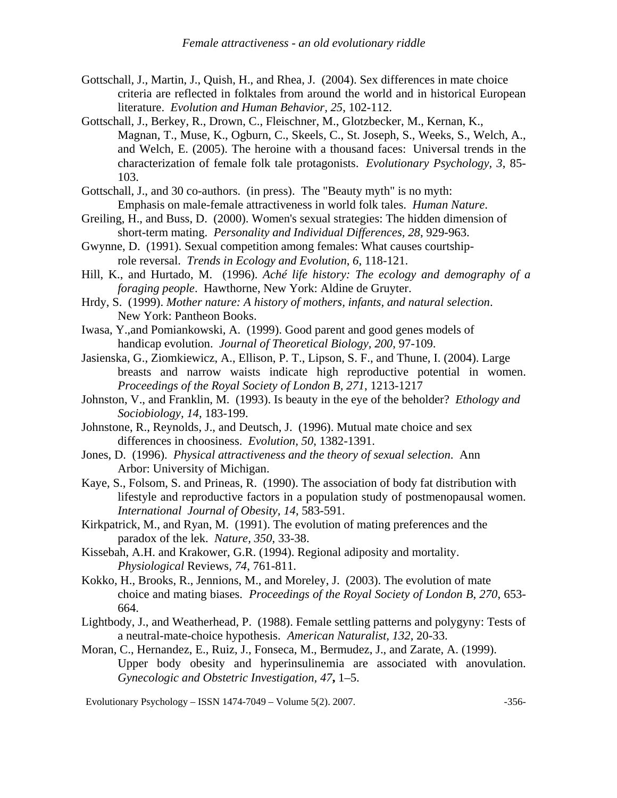- Gottschall, J., Martin, J., Quish, H., and Rhea, J. (2004). Sex differences in mate choice criteria are reflected in folktales from around the world and in historical European literature. *Evolution and Human Behavior, 25*, 102-112.
- Gottschall, J., Berkey, R., Drown, C., Fleischner, M., Glotzbecker, M., Kernan, K., Magnan, T., Muse, K., Ogburn, C., Skeels, C., St. Joseph, S., Weeks, S., Welch, A., and Welch, E. (2005). The heroine with a thousand faces: Universal trends in the characterization of female folk tale protagonists. *Evolutionary Psychology, 3*, 85- 103.
- Gottschall, J., and 30 co-authors. (in press). The "Beauty myth" is no myth: Emphasis on male-female attractiveness in world folk tales. *Human Nature*.
- Greiling, H., and Buss, D. (2000). Women's sexual strategies: The hidden dimension of short-term mating. *Personality and Individual Differences, 28*, 929-963.
- Gwynne, D. (1991). Sexual competition among females: What causes courtshiprole reversal. *Trends in Ecology and Evolution*, *6*, 118-121.
- Hill, K., and Hurtado, M. (1996). *Aché life history: The ecology and demography of a foraging people*. Hawthorne, New York: Aldine de Gruyter.
- Hrdy, S. (1999). *Mother nature: A history of mothers, infants, and natural selection*. New York: Pantheon Books.
- Iwasa, Y.,and Pomiankowski, A. (1999). Good parent and good genes models of handicap evolution. *Journal of Theoretical Biology, 200*, 97-109.
- Jasienska, G., Ziomkiewicz, A., Ellison, P. T., Lipson, S. F., and Thune, I. (2004). Large breasts and narrow waists indicate high reproductive potential in women. *Proceedings of the Royal Society of London B, 271*, 1213-1217
- Johnston, V., and Franklin, M. (1993). Is beauty in the eye of the beholder? *Ethology and Sociobiology, 14*, 183-199.
- Johnstone, R., Reynolds, J., and Deutsch, J. (1996). Mutual mate choice and sex differences in choosiness. *Evolution, 50*, 1382-1391.
- Jones, D. (1996). *Physical attractiveness and the theory of sexual selection*. Ann Arbor: University of Michigan.
- Kaye, S., Folsom, S. and Prineas, R. (1990). The association of body fat distribution with lifestyle and reproductive factors in a population study of postmenopausal women. *International Journal of Obesity, 14*, 583-591.
- Kirkpatrick, M., and Ryan, M. (1991). The evolution of mating preferences and the paradox of the lek. *Nature, 350*, 33-38.
- Kissebah, A.H. and Krakower, G.R. (1994). Regional adiposity and mortality. *Physiological* Reviews*, 74*, 761-811.
- Kokko, H., Brooks, R., Jennions, M., and Moreley, J. (2003). The evolution of mate choice and mating biases. *Proceedings of the Royal Society of London B*, *270*, 653- 664.
- Lightbody, J., and Weatherhead, P. (1988). Female settling patterns and polygyny: Tests of a neutral-mate-choice hypothesis. *American Naturalist, 132*, 20-33.
- Moran, C., Hernandez, E., Ruiz, J., Fonseca, M., Bermudez, J., and Zarate, A. (1999). Upper body obesity and hyperinsulinemia are associated with anovulation. *Gynecologic and Obstetric Investigation, 47***,** 1–5.